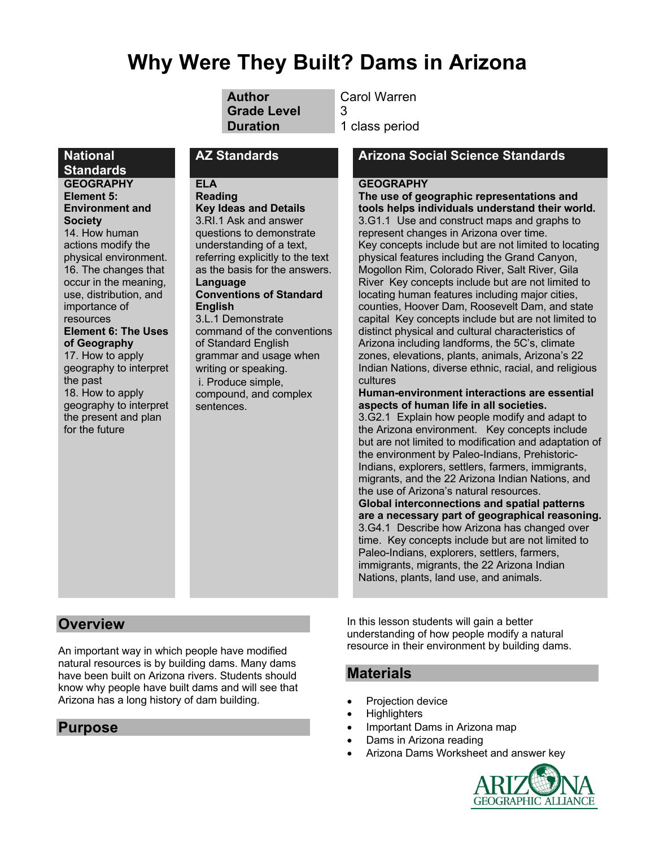# **Why Were They Built? Dams in Arizona**

**Grade Level** 3

**Author** Carol Warren

**Duration** 1 class period

#### **ELA**

**Reading**

**Environment and Society** 14. How human actions modify the physical environment. 16. The changes that occur in the meaning, use, distribution, and importance of resources

**National Standards**

**GEOGRAPHY Element 5:** 

#### **Element 6: The Uses of Geography**

17. How to apply geography to interpret the past 18. How to apply geography to interpret the present and plan for the future

#### **Key Ideas and Details** 3.RI.1 Ask and answer questions to demonstrate understanding of a text, referring explicitly to the text as the basis for the answers. **Language Conventions of Standard English** 3.L.1 Demonstrate command of the conventions

of Standard English grammar and usage when writing or speaking. i. Produce simple,

compound, and complex sentences.

### **AZ Standards Arizona Social Science Standards**

#### **GEOGRAPHY**

**The use of geographic representations and tools helps individuals understand their world.** 3.G1.1 Use and construct maps and graphs to represent changes in Arizona over time. Key concepts include but are not limited to locating physical features including the Grand Canyon, Mogollon Rim, Colorado River, Salt River, Gila River Key concepts include but are not limited to locating human features including major cities, counties, Hoover Dam, Roosevelt Dam, and state capital Key concepts include but are not limited to distinct physical and cultural characteristics of Arizona including landforms, the 5C's, climate zones, elevations, plants, animals, Arizona's 22 Indian Nations, diverse ethnic, racial, and religious cultures

#### **Human-environment interactions are essential aspects of human life in all societies.**

3.G2.1 Explain how people modify and adapt to the Arizona environment. Key concepts include but are not limited to modification and adaptation of the environment by Paleo-Indians, Prehistoric-Indians, explorers, settlers, farmers, immigrants, migrants, and the 22 Arizona Indian Nations, and the use of Arizona's natural resources. **Global interconnections and spatial patterns are a necessary part of geographical reasoning.** 3.G4.1 Describe how Arizona has changed over time. Key concepts include but are not limited to Paleo-Indians, explorers, settlers, farmers, immigrants, migrants, the 22 Arizona Indian Nations, plants, land use, and animals.

# **Overview**

An important way in which people have modified natural resources is by building dams. Many dams have been built on Arizona rivers. Students should know why people have built dams and will see that Arizona has a long history of dam building.

# **Purpose**

In this lesson students will gain a better understanding of how people modify a natural resource in their environment by building dams.

# **Materials**

- Projection device
- Highlighters
- Important Dams in Arizona map
- Dams in Arizona reading
- Arizona Dams Worksheet and answer key